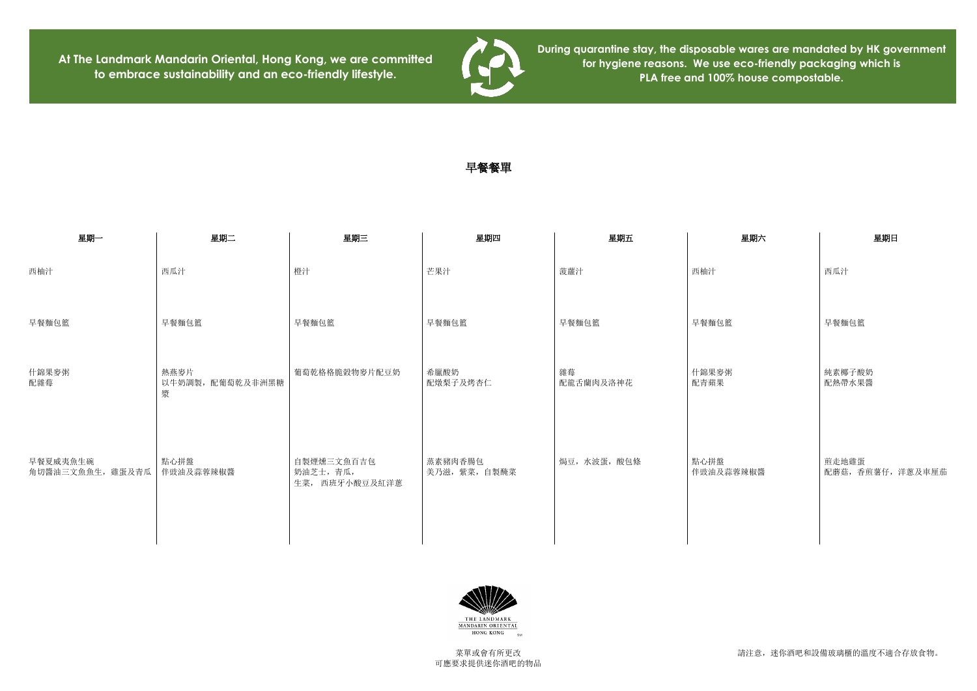請注意,迷你酒吧和設備玻璃櫃的溫度不適合存放食物。

**At The Landmark Mandarin Oriental, Hong Kong, we are committed to embrace sustainability and an eco-friendly lifestyle.**



**During quarantine stay, the disposable wares are mandated by HK government for hygiene reasons. We use eco-friendly packaging which is PLA free and 100% house compostable.**

## 早餐餐單

| 星期二                           | 星期三                                         | 星期四                      | 星期五             | 星期六               | 星期日                |
|-------------------------------|---------------------------------------------|--------------------------|-----------------|-------------------|--------------------|
| 西瓜汁                           | 橙汁                                          | 芒果汁                      | 菠蘿汁             | 西柚汁               | 西瓜汁                |
| 早餐麵包籃                         | 早餐麵包籃                                       | 早餐麵包籃                    | 早餐麵包籃           | 早餐麵包籃             | 早餐麵包籃              |
| 熱燕麥片<br>以牛奶調製, 配葡萄乾及非洲黑糖<br>漿 | 葡萄乾格格脆穀物麥片配豆奶                               | 希臘酸奶<br>配燉梨子及烤杏仁         | 雜莓<br>配龍舌蘭肉及洛神花 | 什錦果麥粥<br>配青蘋果     | 純素椰子酸奶<br>配熱帶水果醬   |
| 點心拼盤<br>伴豉油及蒜蓉辣椒醬             | 自製煙燻三文魚百吉包<br>奶油芝士,青瓜,<br>生菜,<br>西班牙小酸豆及紅洋蔥 | 蒸素豬肉香腸包<br>美乃滋, 紫菜, 自製醃菜 | 焗豆,水波蛋,酸包條      | 點心拼盤<br>伴豉油及蒜蓉辣椒醬 | 煎走地雞蛋<br>配蘑菇,香煎薯仔, |
|                               |                                             |                          |                 |                   |                    |



| 星期六  | 星期日                        |  |  |  |
|------|----------------------------|--|--|--|
|      | 西瓜汁                        |  |  |  |
|      | 早餐麵包籃                      |  |  |  |
|      | 純素椰子酸奶<br>配熱帶水果醬           |  |  |  |
| 《辣椒醬 | 煎走地雞蛋<br>配蘑菇, 香煎薯仔, 洋蔥及車厘茄 |  |  |  |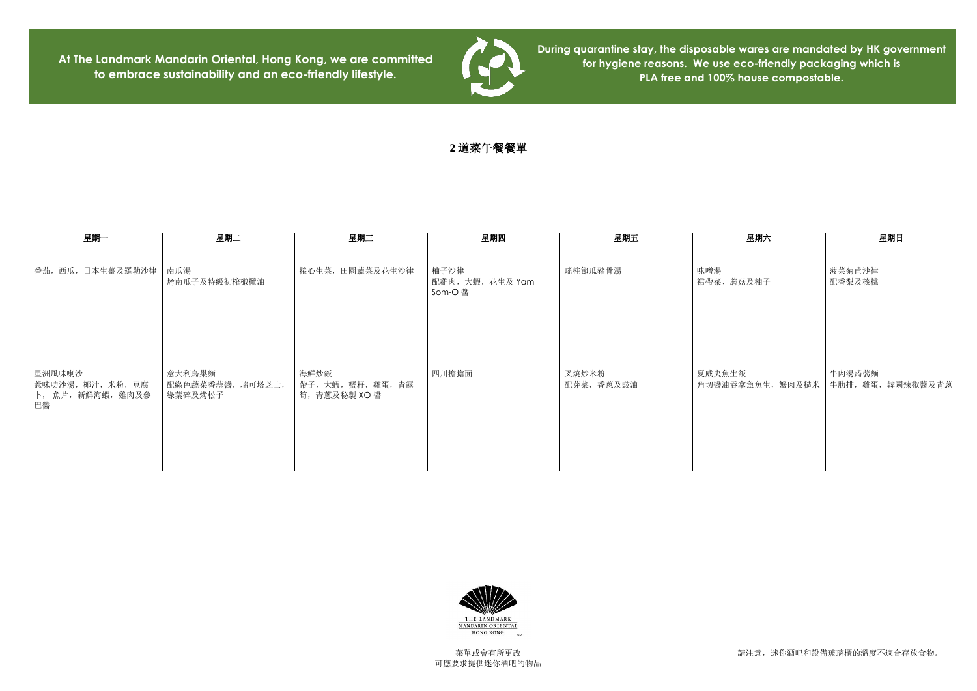請注意,迷你酒吧和設備玻璃櫃的溫度不適合存放食物。

**At The Landmark Mandarin Oriental, Hong Kong, we are committed to embrace sustainability and an eco-friendly lifestyle.**



| 星期六              | 星期日               |  |  |
|------------------|-------------------|--|--|
| 味噌湯              | 菠菜菊苣沙律            |  |  |
| 裙帶菜、蘑菇及柚子        | 配香梨及核桃            |  |  |
| 夏威夷魚生飯           | 牛肉湯蒟蒻麵            |  |  |
| 角切醬油吞拿魚魚生, 蟹肉及糙米 | 牛肋排, 雞蛋, 韓國辣椒醬及青蔥 |  |  |

**During quarantine stay, the disposable wares are mandated by HK government for hygiene reasons. We use eco-friendly packaging which is PLA free and 100% house compostable.**

**2** 道菜午餐餐單

| 星期一                                                    | 星期二                                   | 星期三                                    | 星期四                               | 星期五                 | 星期六                 |
|--------------------------------------------------------|---------------------------------------|----------------------------------------|-----------------------------------|---------------------|---------------------|
| 番茄, 西瓜, 日本生薑及羅勒沙律                                      | 南瓜湯<br>烤南瓜子及特級初榨橄欖油                   | 捲心生菜, 田園蔬菜及花生沙律                        | 柚子沙律<br>配雞肉,大蝦,花生及 Yam<br>Som-O 醬 | 瑤柱節瓜豬骨湯             | 味噌湯<br>裙帶菜、蘑菇及柚子    |
| 星洲風味喇沙<br>惹味叻沙湯, 椰汁, 米粉, 豆腐<br>卜, 魚片, 新鮮海蝦, 雞肉及參<br>巴醬 | 意大利鳥巢麵<br>配綠色蔬菜香蒜醬, 瑞可塔芝士,<br>綠葉碎及烤松子 | 海鮮炒飯<br>帶子,大蝦,蟹籽,雞蛋,青露<br>筍,青蔥及秘製 XO 醬 | 四川擔擔面                             | 叉燒炒米粉<br>配芽菜, 香蔥及豉油 | 夏威夷魚生飯<br>角切醬油吞拿魚魚生 |